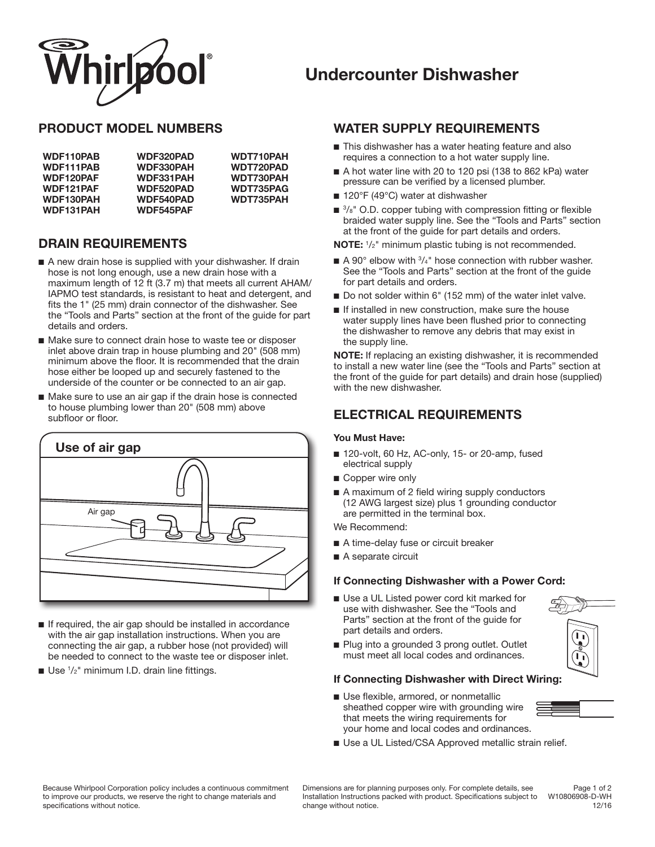

# **Undercounter Dishwasher**

### **PRODUCT MODEL NUMBERS**

| WDF110PAB        | <b>WDF320PAD</b> | WDT710PAH        |
|------------------|------------------|------------------|
| WDF111PAB        | <b>WDF330PAH</b> | <b>WDT720PAD</b> |
| WDF120PAF        | <b>WDF331PAH</b> | <b>WDT730PAH</b> |
| WDF121PAF        | <b>WDF520PAD</b> | WDT735PAG        |
| <b>WDF130PAH</b> | <b>WDF540PAD</b> | WDT735PAH        |
| <b>WDF131PAH</b> | <b>WDF545PAF</b> |                  |

## **DRAIN REQUIREMENTS**

- A new drain hose is supplied with your dishwasher. If drain hose is not long enough, use a new drain hose with a maximum length of 12 ft (3.7 m) that meets all current AHAM/ IAPMO test standards, is resistant to heat and detergent, and fits the 1" (25 mm) drain connector of the dishwasher. See the "Tools and Parts" section at the front of the guide for part details and orders.
- Make sure to connect drain hose to waste tee or disposer inlet above drain trap in house plumbing and 20" (508 mm) minimum above the floor. It is recommended that the drain hose either be looped up and securely fastened to the underside of the counter or be connected to an air gap.
- Make sure to use an air gap if the drain hose is connected to house plumbing lower than 20" (508 mm) above subfloor or floor.



- If required, the air gap should be installed in accordance with the air gap installation instructions. When you are connecting the air gap, a rubber hose (not provided) will be needed to connect to the waste tee or disposer inlet.
- Use <sup>1</sup>/<sub>2</sub>" minimum I.D. drain line fittings.

### **WATER SUPPLY REQUIREMENTS**

- This dishwasher has a water heating feature and also requires a connection to a hot water supply line.
- A hot water line with 20 to 120 psi (138 to 862 kPa) water pressure can be verified by a licensed plumber.
- 120°F (49°C) water at dishwasher
- $\blacksquare$  <sup>3</sup>/ $s$ <sup>"</sup> O.D. copper tubing with compression fitting or flexible braided water supply line. See the "Tools and Parts" section at the front of the guide for part details and orders.

**NOTE:** <sup>1</sup> /2" minimum plastic tubing is not recommended.

- $\blacksquare$  A 90° elbow with  $\frac{3}{4}$ " hose connection with rubber washer. See the "Tools and Parts" section at the front of the guide for part details and orders.
- Do not solder within 6" (152 mm) of the water inlet valve.
- If installed in new construction, make sure the house water supply lines have been flushed prior to connecting the dishwasher to remove any debris that may exist in the supply line.

**NOTE:** If replacing an existing dishwasher, it is recommended to install a new water line (see the "Tools and Parts" section at the front of the guide for part details) and drain hose (supplied) with the new dishwasher.

## **ELECTRICAL REQUIREMENTS**

#### **You Must Have:**

- 120-volt, 60 Hz, AC-only, 15- or 20-amp, fused electrical supply
- Copper wire only
- A maximum of 2 field wiring supply conductors (12 AWG largest size) plus 1 grounding conductor are permitted in the terminal box.

We Recommend:

- A time-delay fuse or circuit breaker
- A separate circuit

#### **If Connecting Dishwasher with a Power Cord:**

■ Use a UL Listed power cord kit marked for use with dishwasher. See the "Tools and Parts" section at the front of the guide for part details and orders.



■ Plug into a grounded 3 prong outlet. Outlet must meet all local codes and ordinances.

#### **If Connecting Dishwasher with Direct Wiring:**

- Use flexible, armored, or nonmetallic sheathed copper wire with grounding wire that meets the wiring requirements for your home and local codes and ordinances.
- Use a UL Listed/CSA Approved metallic strain relief.

Because Whirlpool Corporation policy includes a continuous commitment to improve our products, we reserve the right to change materials and specifications without notice.

Dimensions are for planning purposes only. For complete details, see Installation Instructions packed with product. Specifications subject to change without notice.

Page 1 of 2 W10806908-D-WH 12/16